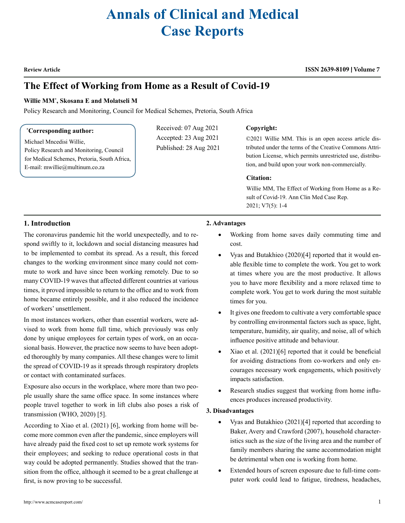# **Annals of Clinical and Medical Case Reports**

**Review Article**

#### **ISSN 2639-8109 Volume 7**

# **The Effect of Working from Home as a Result of Covid-19**

#### **Willie MM\* , Skosana E and Molatseli M**

Policy Research and Monitoring, Council for Medical Schemes, Pretoria, South Africa

#### **\* Corresponding author:**

Michael Mncedisi Willie, Policy Research and Monitoring, Council for Medical Schemes, Pretoria, South Africa, E-mail: mwillie@multinum.co.za

Received: 07 Aug 2021 Accepted: 23 Aug 2021 Published: 28 Aug 2021

#### **Copyright:**

©2021 Willie MM. This is an open access article distributed under the terms of the Creative Commons Attribution License, which permits unrestricted use, distribution, and build upon your work non-commercially.

#### **Citation:**

Willie MM, The Effect of Working from Home as a Result of Covid-19. Ann Clin Med Case Rep. 2021; V7(5): 1-4

# **1. Introduction**

The coronavirus pandemic hit the world unexpectedly, and to respond swiftly to it, lockdown and social distancing measures had to be implemented to combat its spread. As a result, this forced changes to the working environment since many could not commute to work and have since been working remotely. Due to so many COVID-19 waves that affected different countries at various times, it proved impossible to return to the office and to work from home became entirely possible, and it also reduced the incidence of workers' unsettlement.

In most instances workers, other than essential workers, were advised to work from home full time, which previously was only done by unique employees for certain types of work, on an occasional basis. However, the practice now seems to have been adopted thoroughly by many companies. All these changes were to limit the spread of COVID-19 as it spreads through respiratory droplets or contact with contaminated surfaces.

Exposure also occurs in the workplace, where more than two people usually share the same office space. In some instances where people travel together to work in lift clubs also poses a risk of transmission (WHO, 2020) [5].

According to Xiao et al. (2021) [6], working from home will become more common even after the pandemic, since employers will have already paid the fixed cost to set up remote work systems for their employees; and seeking to reduce operational costs in that way could be adopted permanently. Studies showed that the transition from the office, although it seemed to be a great challenge at first, is now proving to be successful.

## **2. Advantages**

- • Working from home saves daily commuting time and cost.
- Vyas and Butakhieo (2020)[4] reported that it would enable flexible time to complete the work. You get to work at times where you are the most productive. It allows you to have more flexibility and a more relaxed time to complete work. You get to work during the most suitable times for you.
- It gives one freedom to cultivate a very comfortable space by controlling environmental factors such as space, light, temperature, humidity, air quality, and noise, all of which influence positive attitude and behaviour.
- Xiao et al.  $(2021)[6]$  reported that it could be beneficial for avoiding distractions from co-workers and only encourages necessary work engagements, which positively impacts satisfaction.
- Research studies suggest that working from home influences produces increased productivity.

#### **3. Disadvantages**

- Vyas and Butakhieo  $(2021)[4]$  reported that according to Baker, Avery and Crawford (2007), household characteristics such as the size of the living area and the number of family members sharing the same accommodation might be detrimental when one is working from home.
- Extended hours of screen exposure due to full-time computer work could lead to fatigue, tiredness, headaches,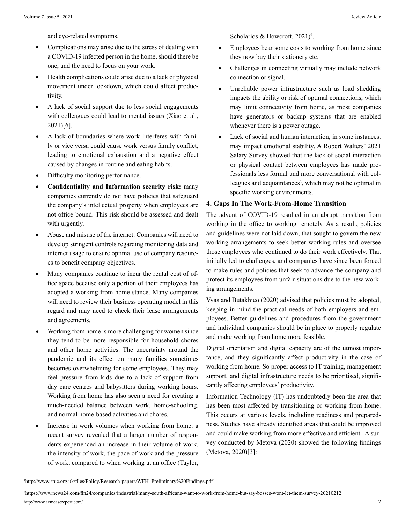and eye-related symptoms.

- Complications may arise due to the stress of dealing with a COVID-19 infected person in the home, should there be one, and the need to focus on your work.
- Health complications could arise due to a lack of physical movement under lockdown, which could affect productivity.
- A lack of social support due to less social engagements with colleagues could lead to mental issues (Xiao et al., 2021)[6].
- A lack of boundaries where work interferes with family or vice versa could cause work versus family conflict, leading to emotional exhaustion and a negative effect caused by changes in routine and eating habits.
- Difficulty monitoring performance.
- **Confidentiality and Information security risk: many** companies currently do not have policies that safeguard the company's intellectual property when employees are not office-bound. This risk should be assessed and dealt with urgently.
- Abuse and misuse of the internet: Companies will need to develop stringent controls regarding monitoring data and internet usage to ensure optimal use of company resources to benefit company objectives.
- Many companies continue to incur the rental cost of office space because only a portion of their employees has adopted a working from home stance. Many companies will need to review their business operating model in this regard and may need to check their lease arrangements and agreements.
- Working from home is more challenging for women since they tend to be more responsible for household chores and other home activities. The uncertainty around the pandemic and its effect on many families sometimes becomes overwhelming for some employees. They may feel pressure from kids due to a lack of support from day care centres and babysitters during working hours. Working from home has also seen a need for creating a much-needed balance between work, home-schooling, and normal home-based activities and chores.
- Increase in work volumes when working from home: a recent survey revealed that a larger number of respondents experienced an increase in their volume of work, the intensity of work, the pace of work and the pressure of work, compared to when working at an office (Taylor,

Scholarios & Howcroft, 2021)<sup>2</sup>.

- Employees bear some costs to working from home since they now buy their stationery etc.
- Challenges in connecting virtually may include network connection or signal.
- Unreliable power infrastructure such as load shedding impacts the ability or risk of optimal connections, which may limit connectivity from home, as most companies have generators or backup systems that are enabled whenever there is a power outage.
- Lack of social and human interaction, in some instances, may impact emotional stability. A Robert Walters' 2021 Salary Survey showed that the lack of social interaction or physical contact between employees has made professionals less formal and more conversational with colleagues and acquaintances<sup>3</sup>, which may not be optimal in specific working environments.

# **4. Gaps In The Work-From-Home Transition**

The advent of COVID-19 resulted in an abrupt transition from working in the office to working remotely. As a result, policies and guidelines were not laid down, that sought to govern the new working arrangements to seek better working rules and oversee those employees who continued to do their work effectively. That initially led to challenges, and companies have since been forced to make rules and policies that seek to advance the company and protect its employees from unfair situations due to the new working arrangements.

Vyas and Butakhieo (2020) advised that policies must be adopted, keeping in mind the practical needs of both employers and employees. Better guidelines and procedures from the government and individual companies should be in place to properly regulate and make working from home more feasible.

Digital orientation and digital capacity are of the utmost importance, and they significantly affect productivity in the case of working from home. So proper access to IT training, management support, and digital infrastructure needs to be prioritised, significantly affecting employees' productivity.

Information Technology (IT) has undoubtedly been the area that has been most affected by transitioning or working from home. This occurs at various levels, including readiness and preparedness. Studies have already identified areas that could be improved and could make working from more effective and efficient. A survey conducted by Metova (2020) showed the following findings (Metova, 2020)[3]:

<sup>1</sup> http://www.stuc.org.uk/files/Policy/Research-papers/WFH\_Preliminary%20Findings.pdf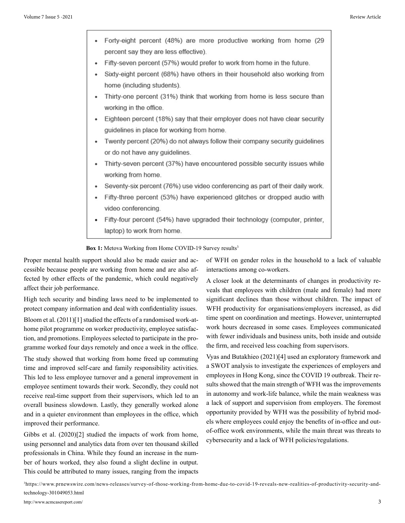Forty-eight percent (48%) are more productive working from home (29 percent say they are less effective). Fifty-seven percent (57%) would prefer to work from home in the future. Sixty-eight percent (68%) have others in their household also working from home (including students).  $\bullet$ Thirty-one percent (31%) think that working from home is less secure than working in the office. Eighteen percent (18%) say that their employer does not have clear security guidelines in place for working from home. Twenty percent (20%) do not always follow their company security guidelines or do not have any guidelines. • Thirty-seven percent (37%) have encountered possible security issues while working from home. Seventy-six percent (76%) use video conferencing as part of their daily work.  $\bullet$ Fifty-three percent (53%) have experienced glitches or dropped audio with video conferencing. Fifty-four percent (54%) have upgraded their technology (computer, printer, laptop) to work from home.

**Box 1:** Metova Working from Home COVID-19 Survey results<sup>3</sup>

Proper mental health support should also be made easier and accessible because people are working from home and are also affected by other effects of the pandemic, which could negatively affect their job performance.

High tech security and binding laws need to be implemented to protect company information and deal with confidentiality issues.

Bloom et al. (2011)[1] studied the effects of a randomised work-athome pilot programme on worker productivity, employee satisfaction, and promotions. Employees selected to participate in the programme worked four days remotely and once a week in the office.

The study showed that working from home freed up commuting time and improved self-care and family responsibility activities. This led to less employee turnover and a general improvement in employee sentiment towards their work. Secondly, they could not receive real-time support from their supervisors, which led to an overall business slowdown. Lastly, they generally worked alone and in a quieter environment than employees in the office, which improved their performance.

Gibbs et al. (2020)[2] studied the impacts of work from home, using personnel and analytics data from over ten thousand skilled professionals in China. While they found an increase in the number of hours worked, they also found a slight decline in output. This could be attributed to many issues, ranging from the impacts of WFH on gender roles in the household to a lack of valuable interactions among co-workers.

A closer look at the determinants of changes in productivity reveals that employees with children (male and female) had more significant declines than those without children. The impact of WFH productivity for organisations/employers increased, as did time spent on coordination and meetings. However, uninterrupted work hours decreased in some cases. Employees communicated with fewer individuals and business units, both inside and outside the firm, and received less coaching from supervisors.

Vyas and Butakhieo (2021)[4] used an exploratory framework and a SWOT analysis to investigate the experiences of employers and employees in Hong Kong, since the COVID 19 outbreak. Their results showed that the main strength of WFH was the improvements in autonomy and work-life balance, while the main weakness was a lack of support and supervision from employers. The foremost opportunity provided by WFH was the possibility of hybrid models where employees could enjoy the benefits of in-office and outof-office work environments, while the main threat was threats to cybersecurity and a lack of WFH policies/regulations.

3 https://www.prnewswire.com/news-releases/survey-of-those-working-from-home-due-to-covid-19-reveals-new-realities-of-productivity-security-andtechnology-301049053.html